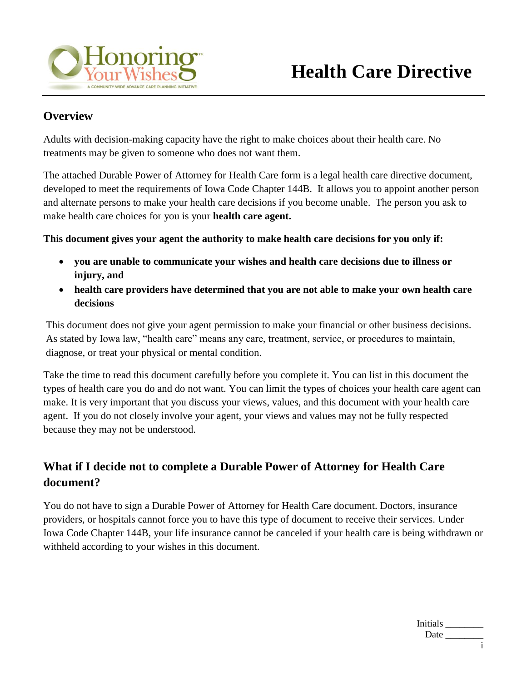

#### **Overview**

Adults with decision-making capacity have the right to make choices about their health care. No treatments may be given to someone who does not want them.

The attached Durable Power of Attorney for Health Care form is a legal health care directive document, developed to meet the requirements of Iowa Code Chapter 144B. It allows you to appoint another person and alternate persons to make your health care decisions if you become unable. The person you ask to make health care choices for you is your **health care agent.**

**This document gives your agent the authority to make health care decisions for you only if:**

- **you are unable to communicate your wishes and health care decisions due to illness or injury, and**
- **health care providers have determined that you are not able to make your own health care decisions**

This document does not give your agent permission to make your financial or other business decisions. As stated by Iowa law, "health care" means any care, treatment, service, or procedures to maintain, diagnose, or treat your physical or mental condition.

Take the time to read this document carefully before you complete it. You can list in this document the types of health care you do and do not want. You can limit the types of choices your health care agent can make. It is very important that you discuss your views, values, and this document with your health care agent. If you do not closely involve your agent, your views and values may not be fully respected because they may not be understood.

## **What if I decide not to complete a Durable Power of Attorney for Health Care document?**

You do not have to sign a Durable Power of Attorney for Health Care document. Doctors, insurance providers, or hospitals cannot force you to have this type of document to receive their services. Under Iowa Code Chapter 144B, your life insurance cannot be canceled if your health care is being withdrawn or withheld according to your wishes in this document.

| Initials |  |
|----------|--|
| Date     |  |
|          |  |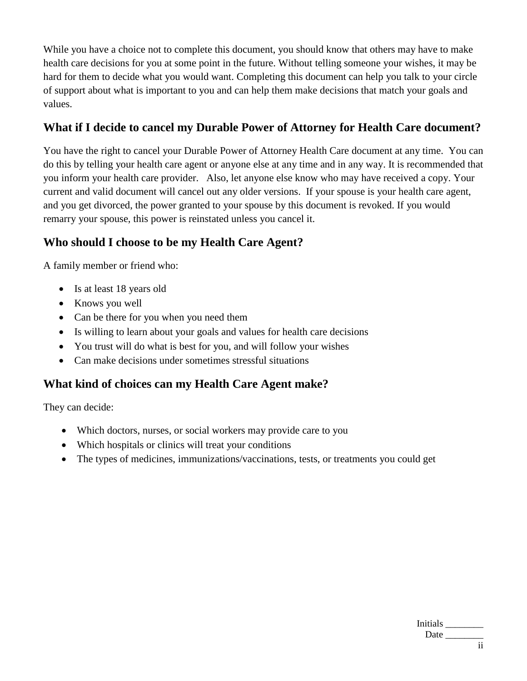While you have a choice not to complete this document, you should know that others may have to make health care decisions for you at some point in the future. Without telling someone your wishes, it may be hard for them to decide what you would want. Completing this document can help you talk to your circle of support about what is important to you and can help them make decisions that match your goals and values.

## **What if I decide to cancel my Durable Power of Attorney for Health Care document?**

You have the right to cancel your Durable Power of Attorney Health Care document at any time. You can do this by telling your health care agent or anyone else at any time and in any way. It is recommended that you inform your health care provider. Also, let anyone else know who may have received a copy. Your current and valid document will cancel out any older versions. If your spouse is your health care agent, and you get divorced, the power granted to your spouse by this document is revoked. If you would remarry your spouse, this power is reinstated unless you cancel it.

## **Who should I choose to be my Health Care Agent?**

A family member or friend who:

- Is at least 18 years old
- Knows you well
- Can be there for you when you need them
- Is willing to learn about your goals and values for health care decisions
- You trust will do what is best for you, and will follow your wishes
- Can make decisions under sometimes stressful situations

#### **What kind of choices can my Health Care Agent make?**

They can decide:

- Which doctors, nurses, or social workers may provide care to you
- Which hospitals or clinics will treat your conditions
- The types of medicines, immunizations/vaccinations, tests, or treatments you could get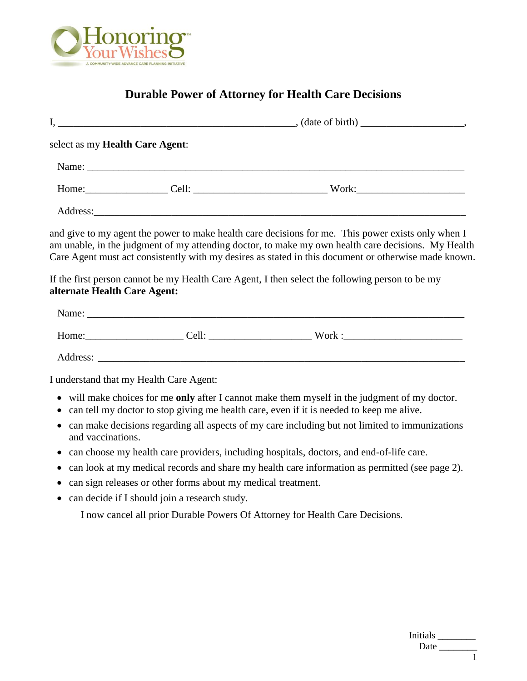

# **Durable Power of Attorney for Health Care Decisions**

|                              | select as my Health Care Agent:                              |                                                                                                                                                                                                                                                                                                                                                                                                                     |
|------------------------------|--------------------------------------------------------------|---------------------------------------------------------------------------------------------------------------------------------------------------------------------------------------------------------------------------------------------------------------------------------------------------------------------------------------------------------------------------------------------------------------------|
|                              |                                                              |                                                                                                                                                                                                                                                                                                                                                                                                                     |
|                              |                                                              |                                                                                                                                                                                                                                                                                                                                                                                                                     |
|                              |                                                              |                                                                                                                                                                                                                                                                                                                                                                                                                     |
| alternate Health Care Agent: |                                                              | and give to my agent the power to make health care decisions for me. This power exists only when I<br>am unable, in the judgment of my attending doctor, to make my own health care decisions. My Health<br>Care Agent must act consistently with my desires as stated in this document or otherwise made known.<br>If the first person cannot be my Health Care Agent, I then select the following person to be my |
|                              |                                                              |                                                                                                                                                                                                                                                                                                                                                                                                                     |
|                              |                                                              |                                                                                                                                                                                                                                                                                                                                                                                                                     |
|                              |                                                              |                                                                                                                                                                                                                                                                                                                                                                                                                     |
|                              | I understand that my Health Care Agent:                      |                                                                                                                                                                                                                                                                                                                                                                                                                     |
|                              |                                                              | will make choices for me only after I cannot make them myself in the judgment of my doctor.<br>can tell my doctor to stop giving me health care, even if it is needed to keep me alive.                                                                                                                                                                                                                             |
| and vaccinations.            |                                                              | can make decisions regarding all aspects of my care including but not limited to immunizations                                                                                                                                                                                                                                                                                                                      |
| $\bullet$                    |                                                              | can choose my health care providers, including hospitals, doctors, and end-of-life care.                                                                                                                                                                                                                                                                                                                            |
|                              |                                                              | can look at my medical records and share my health care information as permitted (see page 2).                                                                                                                                                                                                                                                                                                                      |
|                              | can sign releases or other forms about my medical treatment. |                                                                                                                                                                                                                                                                                                                                                                                                                     |
|                              | can decide if I should join a research study.                |                                                                                                                                                                                                                                                                                                                                                                                                                     |
|                              |                                                              | I now cancel all prior Durable Powers Of Attorney for Health Care Decisions.                                                                                                                                                                                                                                                                                                                                        |

| Initials |  |
|----------|--|
| Date     |  |
|          |  |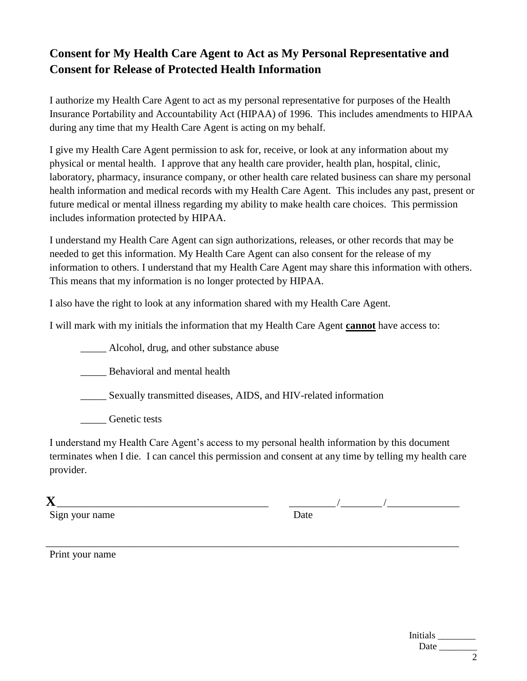# **Consent for My Health Care Agent to Act as My Personal Representative and Consent for Release of Protected Health Information**

I authorize my Health Care Agent to act as my personal representative for purposes of the Health Insurance Portability and Accountability Act (HIPAA) of 1996. This includes amendments to HIPAA during any time that my Health Care Agent is acting on my behalf.

I give my Health Care Agent permission to ask for, receive, or look at any information about my physical or mental health. I approve that any health care provider, health plan, hospital, clinic, laboratory, pharmacy, insurance company, or other health care related business can share my personal health information and medical records with my Health Care Agent. This includes any past, present or future medical or mental illness regarding my ability to make health care choices. This permission includes information protected by HIPAA.

I understand my Health Care Agent can sign authorizations, releases, or other records that may be needed to get this information. My Health Care Agent can also consent for the release of my information to others. I understand that my Health Care Agent may share this information with others. This means that my information is no longer protected by HIPAA.

I also have the right to look at any information shared with my Health Care Agent.

I will mark with my initials the information that my Health Care Agent **cannot** have access to:

\_\_\_\_\_ Alcohol, drug, and other substance abuse

\_\_\_\_\_ Behavioral and mental health

\_\_\_\_\_ Sexually transmitted diseases, AIDS, and HIV-related information

Genetic tests

I understand my Health Care Agent's access to my personal health information by this document terminates when I die. I can cancel this permission and consent at any time by telling my health care provider.

| ٧ |  |
|---|--|
|   |  |

Sign your name Date

**X**\_\_\_\_\_\_\_\_\_\_\_\_\_\_\_\_\_\_\_\_\_\_\_\_\_\_\_\_\_\_\_\_\_\_\_\_\_\_\_\_\_ \_\_\_\_\_\_\_\_\_ /\_\_\_\_\_\_\_\_ /\_\_\_\_\_\_\_\_\_\_\_\_\_\_

\_\_\_\_\_\_\_\_\_\_\_\_\_\_\_\_\_\_\_\_\_\_\_\_\_\_\_\_\_\_\_\_\_\_\_\_\_\_\_\_\_\_\_\_\_\_\_\_\_\_\_\_\_\_\_\_\_\_\_\_\_\_\_\_\_\_\_\_\_\_\_\_\_\_\_\_\_\_\_\_ Print your name

Initials \_\_\_\_\_\_\_\_ Date  $\_\_$ 2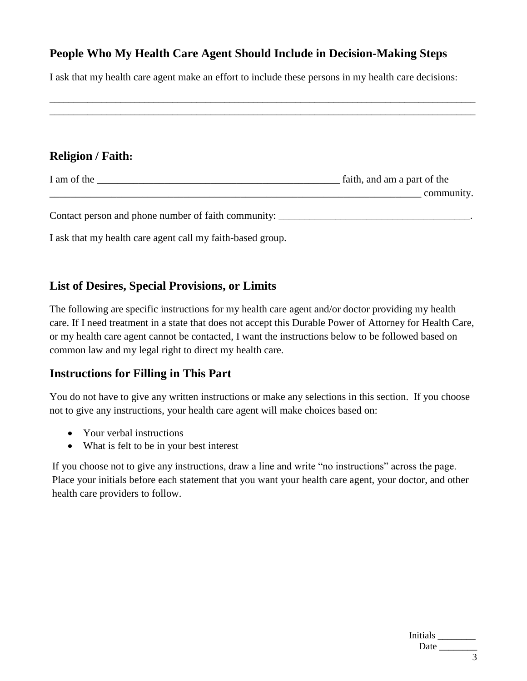### **People Who My Health Care Agent Should Include in Decision-Making Steps**

I ask that my health care agent make an effort to include these persons in my health care decisions:

\_\_\_\_\_\_\_\_\_\_\_\_\_\_\_\_\_\_\_\_\_\_\_\_\_\_\_\_\_\_\_\_\_\_\_\_\_\_\_\_\_\_\_\_\_\_\_\_\_\_\_\_\_\_\_\_\_\_\_\_\_\_\_\_\_\_\_\_\_\_\_\_\_\_\_\_\_\_\_\_\_\_\_\_\_\_\_\_\_\_ \_\_\_\_\_\_\_\_\_\_\_\_\_\_\_\_\_\_\_\_\_\_\_\_\_\_\_\_\_\_\_\_\_\_\_\_\_\_\_\_\_\_\_\_\_\_\_\_\_\_\_\_\_\_\_\_\_\_\_\_\_\_\_\_\_\_\_\_\_\_\_\_\_\_\_\_\_\_\_\_\_\_\_\_\_\_\_\_\_\_

### **Religion / Faith:**

| I am of the | faith, and am a part of the |
|-------------|-----------------------------|
|             | community.                  |
|             |                             |

Contact person and phone number of faith community:

I ask that my health care agent call my faith-based group.

### **List of Desires, Special Provisions, or Limits**

The following are specific instructions for my health care agent and/or doctor providing my health care. If I need treatment in a state that does not accept this Durable Power of Attorney for Health Care, or my health care agent cannot be contacted, I want the instructions below to be followed based on common law and my legal right to direct my health care.

#### **Instructions for Filling in This Part**

You do not have to give any written instructions or make any selections in this section. If you choose not to give any instructions, your health care agent will make choices based on:

- Your verbal instructions
- What is felt to be in your best interest

If you choose not to give any instructions, draw a line and write "no instructions" across the page. Place your initials before each statement that you want your health care agent, your doctor, and other health care providers to follow.

| Initials |  |
|----------|--|
| Date     |  |
|          |  |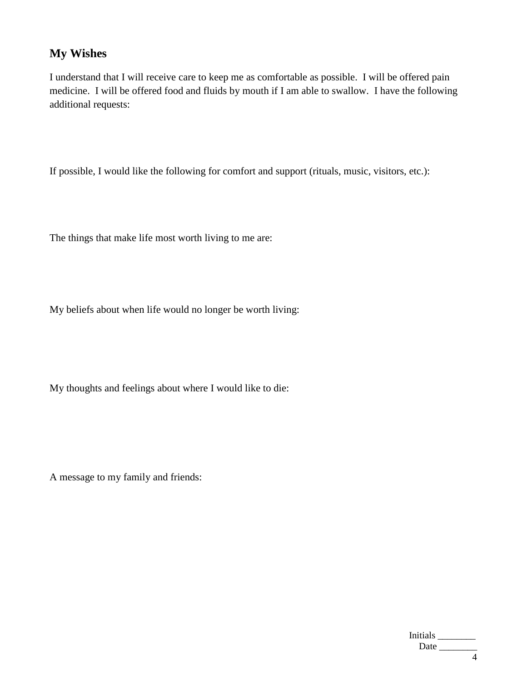# **My Wishes**

I understand that I will receive care to keep me as comfortable as possible. I will be offered pain medicine. I will be offered food and fluids by mouth if I am able to swallow. I have the following additional requests:

If possible, I would like the following for comfort and support (rituals, music, visitors, etc.):

The things that make life most worth living to me are:

My beliefs about when life would no longer be worth living:

My thoughts and feelings about where I would like to die:

A message to my family and friends:

| <b>Initials</b> |  |
|-----------------|--|
| Date            |  |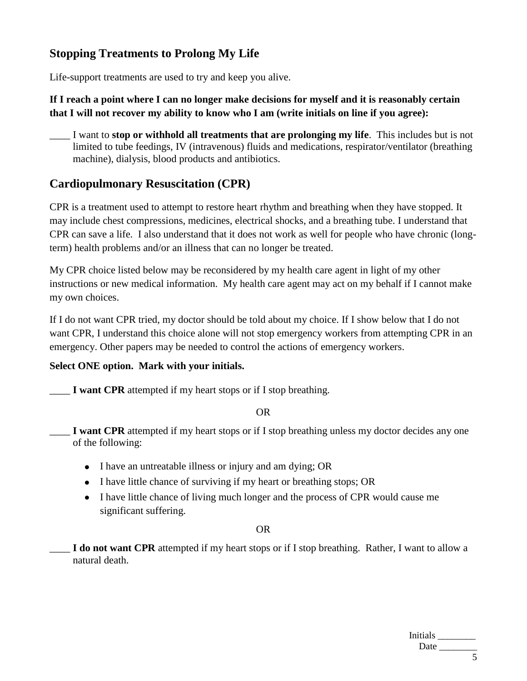# **Stopping Treatments to Prolong My Life**

Life-support treatments are used to try and keep you alive.

#### **If I reach a point where I can no longer make decisions for myself and it is reasonably certain that I will not recover my ability to know who I am (write initials on line if you agree):**

\_\_\_\_ I want to **stop or withhold all treatments that are prolonging my life**. This includes but is not limited to tube feedings, IV (intravenous) fluids and medications, respirator/ventilator (breathing machine), dialysis, blood products and antibiotics.

## **Cardiopulmonary Resuscitation (CPR)**

CPR is a treatment used to attempt to restore heart rhythm and breathing when they have stopped. It may include chest compressions, medicines, electrical shocks, and a breathing tube. I understand that CPR can save a life. I also understand that it does not work as well for people who have chronic (longterm) health problems and/or an illness that can no longer be treated.

My CPR choice listed below may be reconsidered by my health care agent in light of my other instructions or new medical information. My health care agent may act on my behalf if I cannot make my own choices.

If I do not want CPR tried, my doctor should be told about my choice. If I show below that I do not want CPR, I understand this choice alone will not stop emergency workers from attempting CPR in an emergency. Other papers may be needed to control the actions of emergency workers.

#### **Select ONE option. Mark with your initials.**

\_\_\_\_ **I want CPR** attempted if my heart stops or if I stop breathing.

#### OR

- I want CPR attempted if my heart stops or if I stop breathing unless my doctor decides any one of the following:
	- I have an untreatable illness or injury and am dying; OR
	- I have little chance of surviving if my heart or breathing stops; OR
	- I have little chance of living much longer and the process of CPR would cause me significant suffering.

#### OR

\_\_\_\_ **I do not want CPR** attempted if my heart stops or if I stop breathing. Rather, I want to allow a natural death.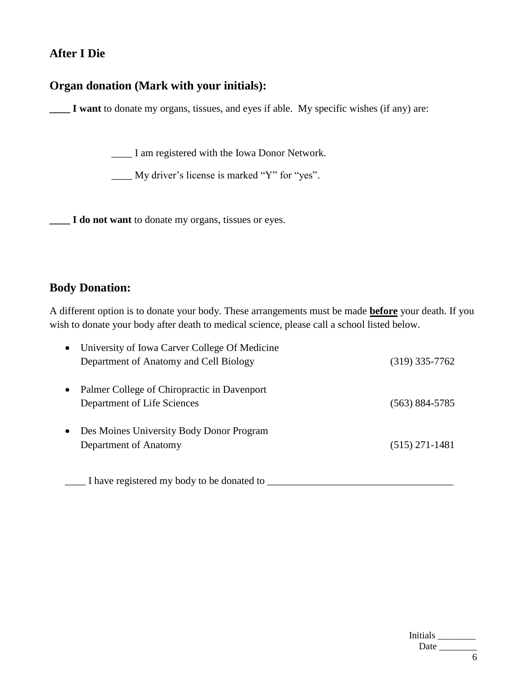### **After I Die**

#### **Organ donation (Mark with your initials):**

**\_\_\_\_ I want** to donate my organs, tissues, and eyes if able. My specific wishes (if any) are:

\_\_\_\_ I am registered with the Iowa Donor Network.

\_\_\_\_ My driver's license is marked "Y" for "yes".

**\_\_\_\_ I do not want** to donate my organs, tissues or eyes.

#### **Body Donation:**

A different option is to donate your body. These arrangements must be made **before** your death. If you wish to donate your body after death to medical science, please call a school listed below.

|           | University of Iowa Carver College Of Medicine |                    |
|-----------|-----------------------------------------------|--------------------|
|           | Department of Anatomy and Cell Biology        | $(319)$ 335-7762   |
|           | Palmer College of Chiropractic in Davenport   |                    |
|           | Department of Life Sciences                   | $(563) 884 - 5785$ |
| $\bullet$ | Des Moines University Body Donor Program      |                    |
|           | Department of Anatomy                         | $(515)$ 271-1481   |
|           |                                               |                    |

\_\_\_\_ I have registered my body to be donated to \_\_\_\_\_\_\_\_\_\_\_\_\_\_\_\_\_\_\_\_\_\_\_\_\_\_\_\_\_\_\_\_\_\_\_\_

| Initials |  |
|----------|--|
| Date     |  |
|          |  |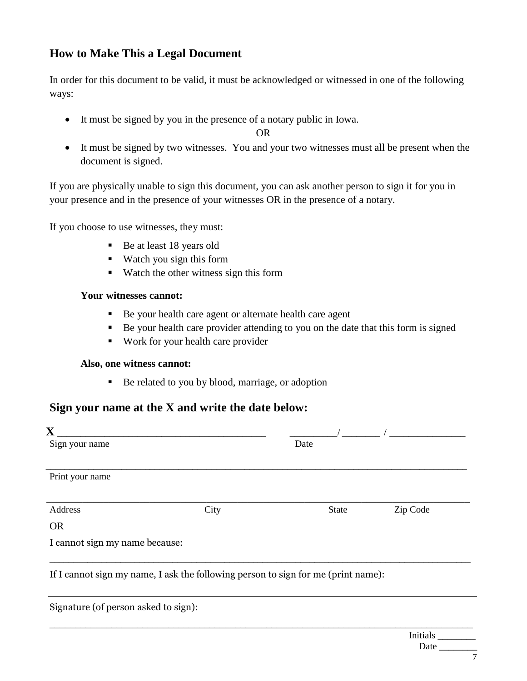## **How to Make This a Legal Document**

In order for this document to be valid, it must be acknowledged or witnessed in one of the following ways:

It must be signed by you in the presence of a notary public in Iowa.

OR

 It must be signed by two witnesses. You and your two witnesses must all be present when the document is signed.

If you are physically unable to sign this document, you can ask another person to sign it for you in your presence and in the presence of your witnesses OR in the presence of a notary.

If you choose to use witnesses, they must:

- Be at least 18 years old
- Watch you sign this form
- Watch the other witness sign this form

#### **Your witnesses cannot:**

- Be your health care agent or alternate health care agent
- Be your health care provider attending to you on the date that this form is signed
- Work for your health care provider

#### **Also, one witness cannot:**

Be related to you by blood, marriage, or adoption

#### **Sign your name at the X and write the date below:**

| $\overline{\mathbf{X}}$<br>Sign your name |                                                                                   | Date         |          |
|-------------------------------------------|-----------------------------------------------------------------------------------|--------------|----------|
| Print your name                           |                                                                                   |              |          |
| Address                                   | City                                                                              | <b>State</b> | Zip Code |
| <b>OR</b>                                 |                                                                                   |              |          |
| I cannot sign my name because:            |                                                                                   |              |          |
|                                           | If I cannot sign my name, I ask the following person to sign for me (print name): |              |          |
| Signature (of person asked to sign):      |                                                                                   |              |          |
|                                           |                                                                                   |              |          |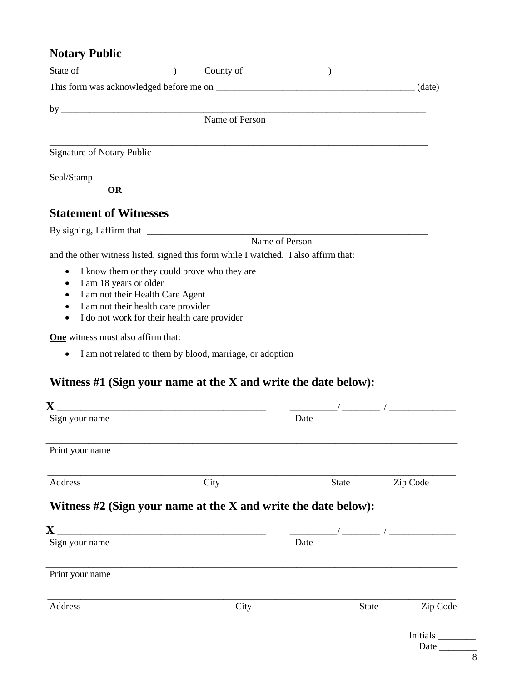# **Notary Public**

| Signature of Notary Public                                                          |                                                          |                |                                                                                                                                                                                                                                                                                                        |
|-------------------------------------------------------------------------------------|----------------------------------------------------------|----------------|--------------------------------------------------------------------------------------------------------------------------------------------------------------------------------------------------------------------------------------------------------------------------------------------------------|
| Seal/Stamp                                                                          |                                                          |                |                                                                                                                                                                                                                                                                                                        |
| <b>OR</b>                                                                           |                                                          |                |                                                                                                                                                                                                                                                                                                        |
| <b>Statement of Witnesses</b>                                                       |                                                          |                |                                                                                                                                                                                                                                                                                                        |
|                                                                                     |                                                          |                |                                                                                                                                                                                                                                                                                                        |
| and the other witness listed, signed this form while I watched. I also affirm that: |                                                          | Name of Person |                                                                                                                                                                                                                                                                                                        |
|                                                                                     |                                                          |                |                                                                                                                                                                                                                                                                                                        |
| $\bullet$<br>I am 18 years or older<br>٠                                            | I know them or they could prove who they are             |                |                                                                                                                                                                                                                                                                                                        |
| I am not their Health Care Agent<br>$\bullet$                                       |                                                          |                |                                                                                                                                                                                                                                                                                                        |
| I am not their health care provider<br>$\bullet$<br>$\bullet$                       | I do not work for their health care provider             |                |                                                                                                                                                                                                                                                                                                        |
| One witness must also affirm that:                                                  |                                                          |                |                                                                                                                                                                                                                                                                                                        |
| $\bullet$                                                                           | I am not related to them by blood, marriage, or adoption |                |                                                                                                                                                                                                                                                                                                        |
| Witness $#1$ (Sign your name at the X and write the date below):<br>Sign your name  |                                                          | Date           |                                                                                                                                                                                                                                                                                                        |
|                                                                                     |                                                          |                |                                                                                                                                                                                                                                                                                                        |
| Print your name                                                                     |                                                          |                |                                                                                                                                                                                                                                                                                                        |
| Address                                                                             | City                                                     | <b>State</b>   | Zip Code                                                                                                                                                                                                                                                                                               |
| Witness $#2$ (Sign your name at the X and write the date below):                    |                                                          |                |                                                                                                                                                                                                                                                                                                        |
| $\mathbf X$                                                                         |                                                          |                | $\frac{1}{2}$ . The set of $\frac{1}{2}$ , $\frac{1}{2}$ , $\frac{1}{2}$ , $\frac{1}{2}$ , $\frac{1}{2}$ , $\frac{1}{2}$ , $\frac{1}{2}$ , $\frac{1}{2}$ , $\frac{1}{2}$ , $\frac{1}{2}$ , $\frac{1}{2}$ , $\frac{1}{2}$ , $\frac{1}{2}$ , $\frac{1}{2}$ , $\frac{1}{2}$ , $\frac{1}{2}$ , $\frac{1}{$ |
| Sign your name                                                                      |                                                          | Date           |                                                                                                                                                                                                                                                                                                        |
| Print your name                                                                     |                                                          |                |                                                                                                                                                                                                                                                                                                        |
| Address                                                                             | City                                                     |                | <b>State</b><br>Zip Code                                                                                                                                                                                                                                                                               |
|                                                                                     |                                                          |                | Initials<br>Date $\_\_$                                                                                                                                                                                                                                                                                |